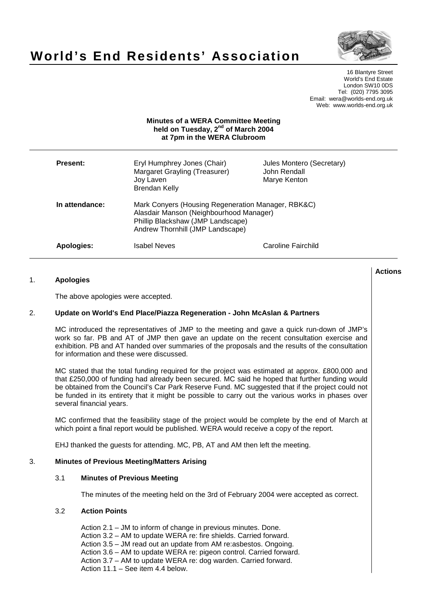

# **World's End Residents' Association**

16 Blantyre Street World's End Estate London SW10 0DS Tel: (020) 7795 3095 Email: wera@worlds-end.org.uk Web: www.worlds-end.org.uk

## **Minutes of a WERA Committee Meeting held on Tuesday, 2nd of March 2004 at 7pm in the WERA Clubroom**

| <b>Present:</b> | Eryl Humphrey Jones (Chair)<br>Margaret Grayling (Treasurer)<br>Joy Laven<br>Brendan Kelly                                                                             | Jules Montero (Secretary)<br>John Rendall<br>Marye Kenton |
|-----------------|------------------------------------------------------------------------------------------------------------------------------------------------------------------------|-----------------------------------------------------------|
| In attendance:  | Mark Conyers (Housing Regeneration Manager, RBK&C)<br>Alasdair Manson (Neighbourhood Manager)<br>Phillip Blackshaw (JMP Landscape)<br>Andrew Thornhill (JMP Landscape) |                                                           |
| Apologies:      | Isabel Neves                                                                                                                                                           | Caroline Fairchild                                        |

### 1. **Apologies**

The above apologies were accepted.

## 2. **Update on World's End Place/Piazza Regeneration - John McAslan & Partners**

MC introduced the representatives of JMP to the meeting and gave a quick run-down of JMP's work so far. PB and AT of JMP then gave an update on the recent consultation exercise and exhibition. PB and AT handed over summaries of the proposals and the results of the consultation for information and these were discussed.

MC stated that the total funding required for the project was estimated at approx. £800,000 and that £250,000 of funding had already been secured. MC said he hoped that further funding would be obtained from the Council's Car Park Reserve Fund. MC suggested that if the project could not be funded in its entirety that it might be possible to carry out the various works in phases over several financial years.

MC confirmed that the feasibility stage of the project would be complete by the end of March at which point a final report would be published. WERA would receive a copy of the report.

EHJ thanked the guests for attending. MC, PB, AT and AM then left the meeting.

#### 3. **Minutes of Previous Meeting/Matters Arising**

#### 3.1 **Minutes of Previous Meeting**

The minutes of the meeting held on the 3rd of February 2004 were accepted as correct.

#### 3.2 **Action Points**

Action 2.1 – JM to inform of change in previous minutes. Done. Action 3.2 – AM to update WERA re: fire shields. Carried forward. Action 3.5 – JM read out an update from AM re:asbestos. Ongoing. Action 3.6 – AM to update WERA re: pigeon control. Carried forward. Action 3.7 – AM to update WERA re: dog warden. Carried forward. Action 11.1 – See item 4.4 below.

## **Actions**